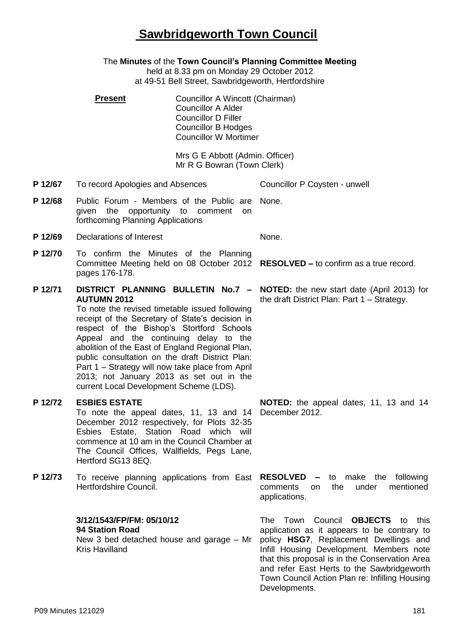# **Sawbridgeworth Town Council**

The **Minutes** of the **Town Council's Planning Committee Meeting** held at 8.33 pm on Monday 29 October 2012 at 49-51 Bell Street, Sawbridgeworth, Hertfordshire **Present Councillor A Wincott (Chairman)** Councillor A Alder Councillor D Filler Councillor B Hodges Councillor W Mortimer Mrs G E Abbott (Admin. Officer) Mr R G Bowran (Town Clerk) **P 12/67** To record Apologies and Absences Councillor P Coysten - unwell P 12/68 Public Forum - Members of the Public are None. given the opportunity to comment on forthcoming Planning Applications **P 12/69** Declarations of Interest None. **P 12/70** To confirm the Minutes of the Planning Committee Meeting held on 08 October 2012 **RESOLVED –** to confirm as a true record. pages 176-178. **P 12/71 DISTRICT PLANNING BULLETIN No.7 – AUTUMN 2012** To note the revised timetable issued following receipt of the Secretary of State's decision in respect of the Bishop's Stortford Schools Appeal and the continuing delay to the abolition of the East of England Regional Plan, public consultation on the draft District Plan: Part 1 – Strategy will now take place from April 2013; not January 2013 as set out in the current Local Development Scheme (LDS). **NOTED:** the new start date (April 2013) for the draft District Plan: Part 1 – Strategy. **P 12/72 ESBIES ESTATE** To note the appeal dates, 11, 13 and 14 December 2012 respectively, for Plots 32-35 Esbies Estate, Station Road which will commence at 10 am in the Council Chamber at The Council Offices, Wallfields, Pegs Lane, Hertford SG13 8EQ. **NOTED:** the appeal dates, 11, 13 and 14 December 2012. **P 12/73** To receive planning applications from East **RESOLVED –** to make the following Hertfordshire Council. comments on the under mentioned applications. **3/12/1543/FP/FM: 05/10/12 94 Station Road** New 3 bed detached house and garage – Mr Kris Havilland The Town Council **OBJECTS** to this application as it appears to be contrary to policy **HSG7**, Replacement Dwellings and Infill Housing Development. Members note that this proposal is in the Conservation Area and refer East Herts to the Sawbridgeworth

Town Council Action Plan re: Infilling Housing

Developments.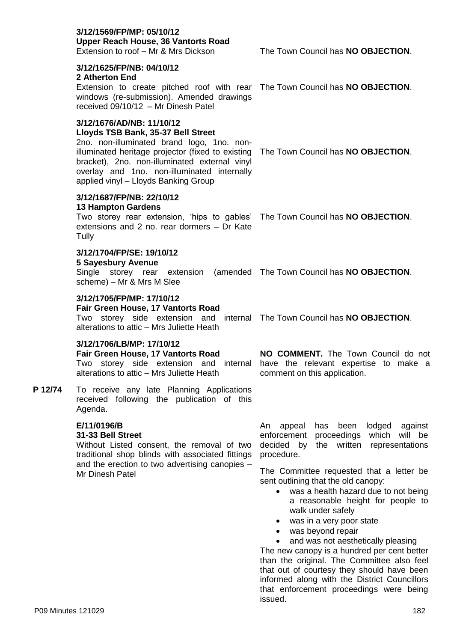# **3/12/1569/FP/MP: 05/10/12 Upper Reach House, 36 Vantorts Road**

## **3/12/1625/FP/NB: 04/10/12**

#### **2 Atherton End**

Extension to create pitched roof with rear The Town Council has **NO OBJECTION**. windows (re-submission). Amended drawings received 09/10/12 – Mr Dinesh Patel

## **3/12/1676/AD/NB: 11/10/12**

#### **Lloyds TSB Bank, 35-37 Bell Street**

2no. non-illuminated brand logo, 1no. nonilluminated heritage projector (fixed to existing The Town Council has **NO OBJECTION**. bracket), 2no. non-illuminated external vinyl overlay and 1no. non-illuminated internally applied vinyl – Lloyds Banking Group

# **3/12/1687/FP/NB: 22/10/12**

#### **13 Hampton Gardens**

Two storey rear extension, 'hips to gables' The Town Council has **NO OBJECTION**. extensions and 2 no. rear dormers – Dr Kate **Tully** 

#### **3/12/1704/FP/SE: 19/10/12**

#### **5 Sayesbury Avenue**

Single storey rear extension (amended The Town Council has **NO OBJECTION**. scheme) – Mr & Mrs M Slee

#### **3/12/1705/FP/MP: 17/10/12**

**Fair Green House, 17 Vantorts Road** Two storey side extension and internal The Town Council has **NO OBJECTION**. alterations to attic – Mrs Juliette Heath

#### **3/12/1706/LB/MP: 17/10/12**

# **Fair Green House, 17 Vantorts Road**

alterations to attic – Mrs Juliette Heath

**P 12/74** To receive any late Planning Applications received following the publication of this Agenda.

### **E/11/0196/B**

#### **31-33 Bell Street**

Without Listed consent, the removal of two traditional shop blinds with associated fittings and the erection to two advertising canopies – Mr Dinesh Patel

Two storey side extension and internal have the relevant expertise to make a **NO COMMENT.** The Town Council do not comment on this application.

> An appeal has been lodged against enforcement proceedings which will be decided by the written representations procedure.

> The Committee requested that a letter be sent outlining that the old canopy:

- was a health hazard due to not being a reasonable height for people to walk under safely
- was in a very poor state
- was beyond repair
- and was not aesthetically pleasing

The new canopy is a hundred per cent better than the original. The Committee also feel that out of courtesy they should have been informed along with the District Councillors that enforcement proceedings were being issued.

Extension to roof – Mr & Mrs Dickson The Town Council has **NO OBJECTION**.